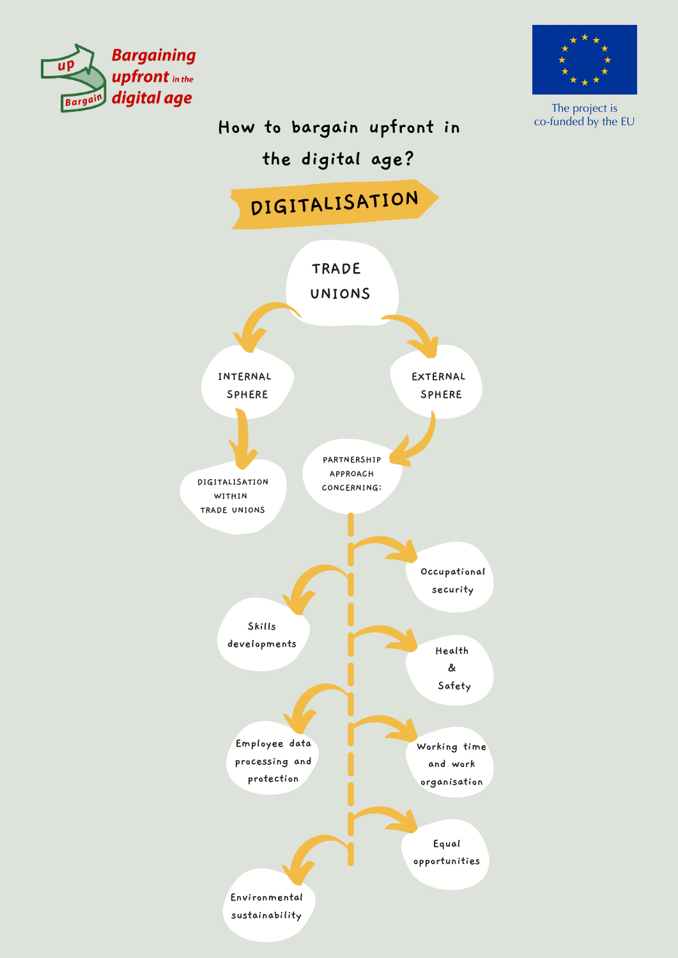



The project is co-funded by the EU

## **How to bargain upfront in**

# **the digital age?**

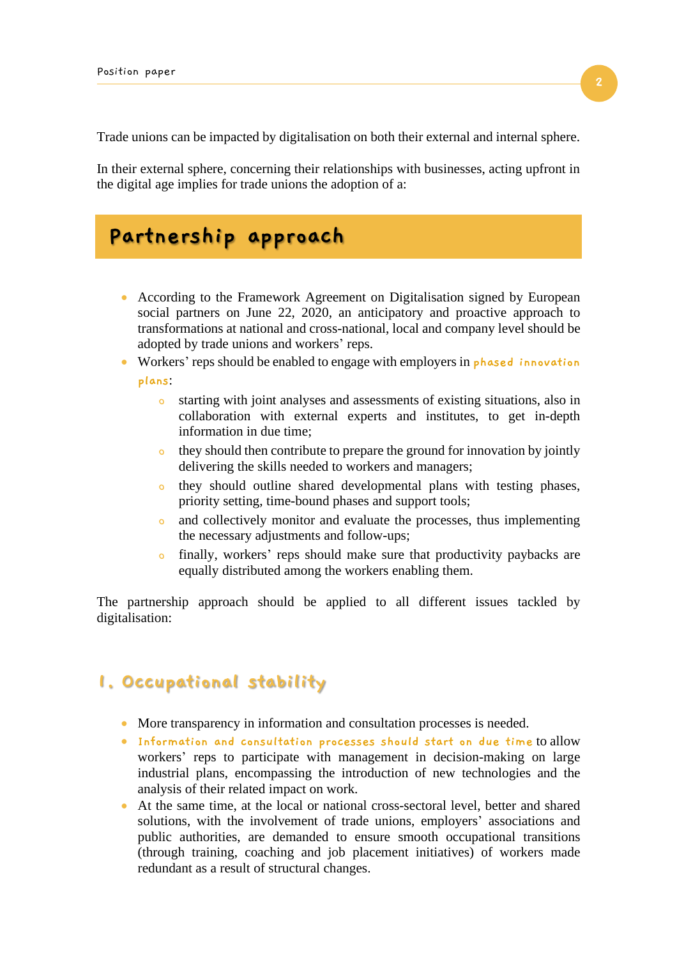Trade unions can be impacted by digitalisation on both their external and internal sphere.

In their external sphere, concerning their relationships with businesses, acting upfront in the digital age implies for trade unions the adoption of a:

# **Partnership approach**

- According to the Framework Agreement on Digitalisation signed by European social partners on June 22, 2020, an anticipatory and proactive approach to transformations at national and cross-national, local and company level should be adopted by trade unions and workers' reps.
- Workers' reps should be enabled to engage with employers in **phased innovation plans**:
	- o starting with joint analyses and assessments of existing situations, also in collaboration with external experts and institutes, to get in-depth information in due time;
	- o they should then contribute to prepare the ground for innovation by jointly delivering the skills needed to workers and managers;
	- o they should outline shared developmental plans with testing phases, priority setting, time-bound phases and support tools;
	- o and collectively monitor and evaluate the processes, thus implementing the necessary adjustments and follow-ups;
	- o finally, workers' reps should make sure that productivity paybacks are equally distributed among the workers enabling them.

The partnership approach should be applied to all different issues tackled by digitalisation:

#### **1. Occupational stability**

- More transparency in information and consultation processes is needed.
- **Information and consultation processes should start on due time** to allow workers' reps to participate with management in decision-making on large industrial plans, encompassing the introduction of new technologies and the analysis of their related impact on work.
- At the same time, at the local or national cross-sectoral level, better and shared solutions, with the involvement of trade unions, employers' associations and public authorities, are demanded to ensure smooth occupational transitions (through training, coaching and job placement initiatives) of workers made redundant as a result of structural changes.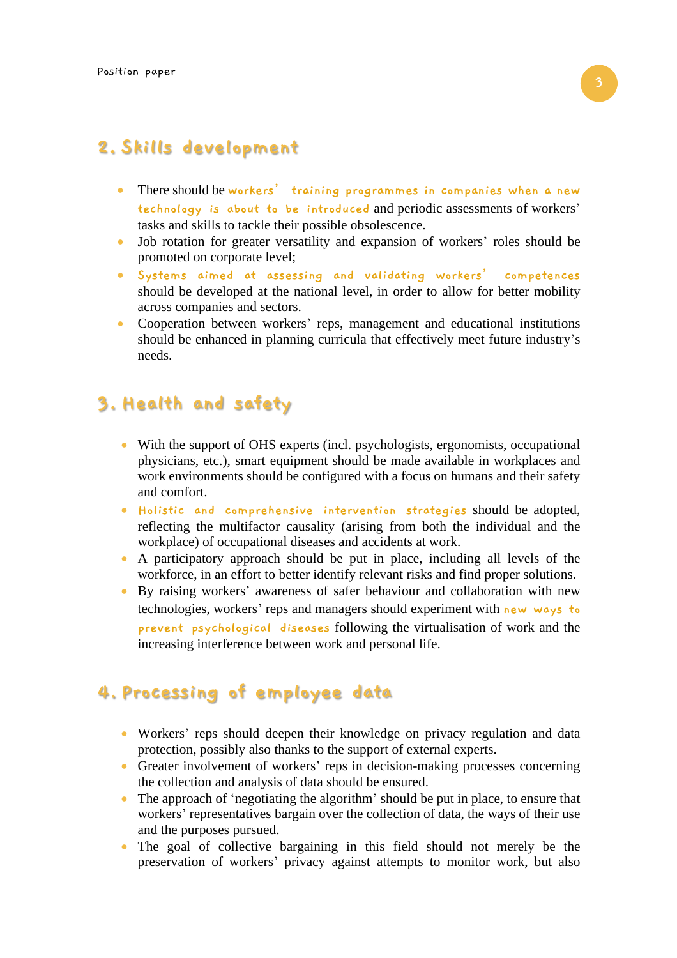### **2. Skills development**

- There should be **workers' training programmes in companies when a new technology is about to be introduced** and periodic assessments of workers' tasks and skills to tackle their possible obsolescence.
- Job rotation for greater versatility and expansion of workers' roles should be promoted on corporate level;
- **Systems aimed at assessing and validating workers' competences** should be developed at the national level, in order to allow for better mobility across companies and sectors.
- Cooperation between workers' reps, management and educational institutions should be enhanced in planning curricula that effectively meet future industry's needs.

### **3. Health and safety**

- With the support of OHS experts (incl. psychologists, ergonomists, occupational physicians, etc.), smart equipment should be made available in workplaces and work environments should be configured with a focus on humans and their safety and comfort.
- **Holistic and comprehensive intervention strategies** should be adopted, reflecting the multifactor causality (arising from both the individual and the workplace) of occupational diseases and accidents at work.
- A participatory approach should be put in place, including all levels of the workforce, in an effort to better identify relevant risks and find proper solutions.
- By raising workers' awareness of safer behaviour and collaboration with new technologies, workers' reps and managers should experiment with **new ways to prevent psychological diseases** following the virtualisation of work and the increasing interference between work and personal life.

### **4. Processing of employee data**

- Workers' reps should deepen their knowledge on privacy regulation and data protection, possibly also thanks to the support of external experts.
- Greater involvement of workers' reps in decision-making processes concerning the collection and analysis of data should be ensured.
- The approach of 'negotiating the algorithm' should be put in place, to ensure that workers' representatives bargain over the collection of data, the ways of their use and the purposes pursued.
- The goal of collective bargaining in this field should not merely be the preservation of workers' privacy against attempts to monitor work, but also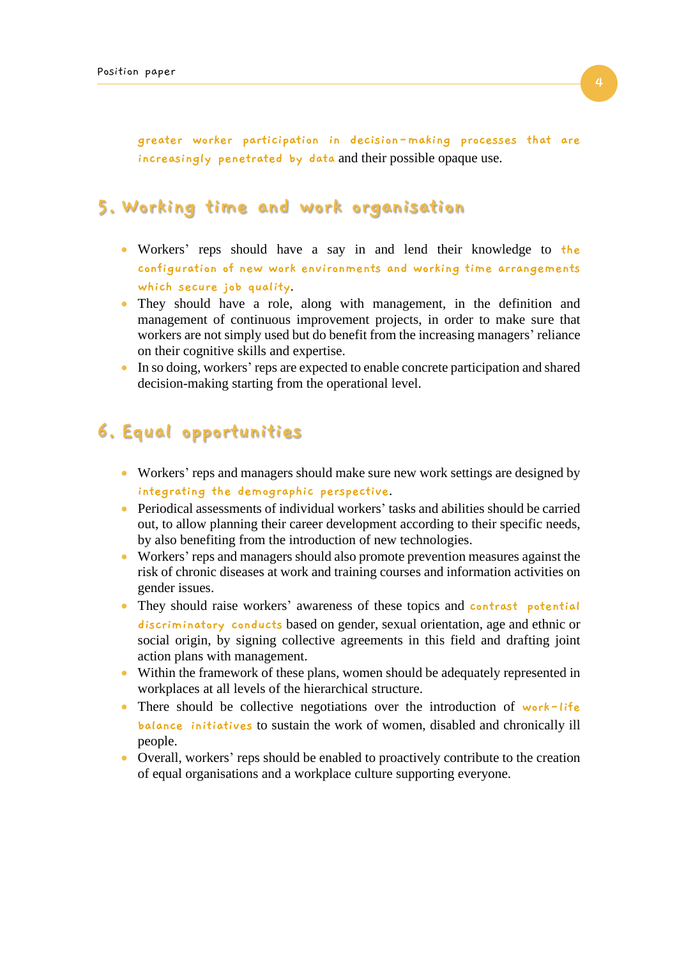**greater worker participation in decision-making processes that are increasingly penetrated by data** and their possible opaque use.

#### **5. Working time and work organisation**

- Workers' reps should have a say in and lend their knowledge to **the configuration of new work environments and working time arrangements which secure job quality**.
- They should have a role, along with management, in the definition and management of continuous improvement projects, in order to make sure that workers are not simply used but do benefit from the increasing managers' reliance on their cognitive skills and expertise.
- In so doing, workers' reps are expected to enable concrete participation and shared decision-making starting from the operational level.

### **6. Equal opportunities**

- Workers' reps and managers should make sure new work settings are designed by **integrating the demographic perspective**.
- Periodical assessments of individual workers' tasks and abilities should be carried out, to allow planning their career development according to their specific needs, by also benefiting from the introduction of new technologies.
- Workers' reps and managers should also promote prevention measures against the risk of chronic diseases at work and training courses and information activities on gender issues.
- They should raise workers' awareness of these topics and **contrast potential discriminatory conducts** based on gender, sexual orientation, age and ethnic or social origin, by signing collective agreements in this field and drafting joint action plans with management.
- Within the framework of these plans, women should be adequately represented in workplaces at all levels of the hierarchical structure.
- There should be collective negotiations over the introduction of **work-life balance initiatives** to sustain the work of women, disabled and chronically ill people.
- Overall, workers' reps should be enabled to proactively contribute to the creation of equal organisations and a workplace culture supporting everyone.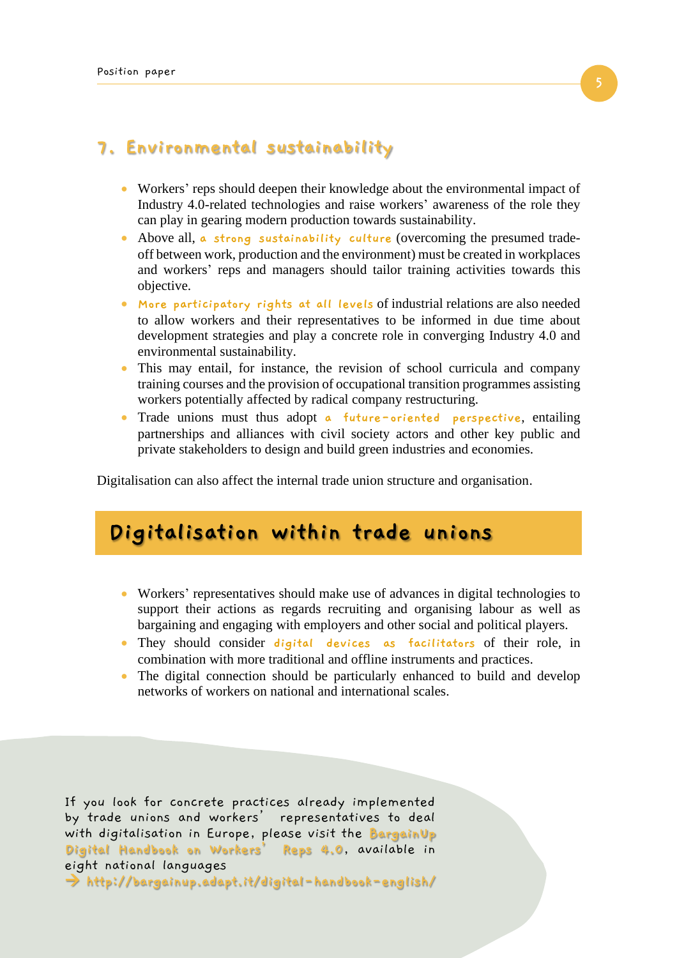#### **7. Environmental sustainability**

- Workers' reps should deepen their knowledge about the environmental impact of Industry 4.0-related technologies and raise workers' awareness of the role they can play in gearing modern production towards sustainability.
- Above all, **a strong sustainability culture** (overcoming the presumed tradeoff between work, production and the environment) must be created in workplaces and workers' reps and managers should tailor training activities towards this objective.
- **More participatory rights at all levels** of industrial relations are also needed to allow workers and their representatives to be informed in due time about development strategies and play a concrete role in converging Industry 4.0 and environmental sustainability.
- This may entail, for instance, the revision of school curricula and company training courses and the provision of occupational transition programmes assisting workers potentially affected by radical company restructuring.
- Trade unions must thus adopt **a future-oriented perspective**, entailing partnerships and alliances with civil society actors and other key public and private stakeholders to design and build green industries and economies.

Digitalisation can also affect the internal trade union structure and organisation.

# **Digitalisation within trade unions**

- Workers' representatives should make use of advances in digital technologies to support their actions as regards recruiting and organising labour as well as bargaining and engaging with employers and other social and political players.
- They should consider **digital devices as facilitators** of their role, in combination with more traditional and offline instruments and practices.
- The digital connection should be particularly enhanced to build and develop networks of workers on national and international scales.

If you look for concrete practices already implemented by trade unions and workers' representatives to deal with digitalisation in Europe, please visit the **BargainUp Digital Handbook on Workers' Reps 4.0**, available in eight national languages → **<http://bargainup.adapt.it/digital-handbook-english/>**